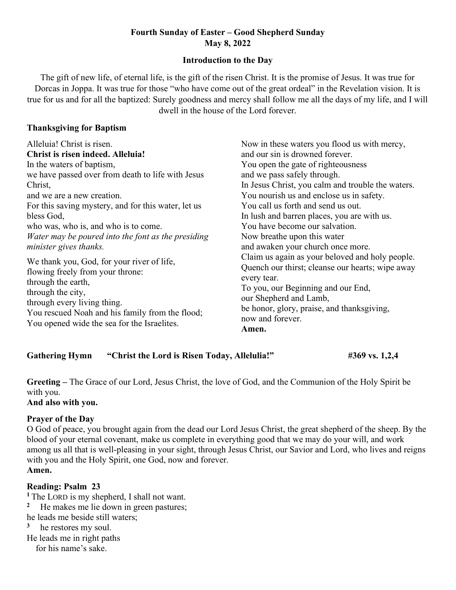## Fourth Sunday of Easter – Good Shepherd Sunday May 8, 2022

#### Introduction to the Day

The gift of new life, of eternal life, is the gift of the risen Christ. It is the promise of Jesus. It was true for Dorcas in Joppa. It was true for those "who have come out of the great ordeal" in the Revelation vision. It is true for us and for all the baptized: Surely goodness and mercy shall follow me all the days of my life, and I will dwell in the house of the Lord forever.

#### Thanksgiving for Baptism

| Now in these waters you flood us with mercy,                                                                                                                                                                                                                  |
|---------------------------------------------------------------------------------------------------------------------------------------------------------------------------------------------------------------------------------------------------------------|
| and our sin is drowned forever.                                                                                                                                                                                                                               |
| You open the gate of righteousness                                                                                                                                                                                                                            |
| and we pass safely through.                                                                                                                                                                                                                                   |
| In Jesus Christ, you calm and trouble the waters.                                                                                                                                                                                                             |
| You nourish us and enclose us in safety.                                                                                                                                                                                                                      |
| You call us forth and send us out.                                                                                                                                                                                                                            |
| In lush and barren places, you are with us.                                                                                                                                                                                                                   |
| You have become our salvation.                                                                                                                                                                                                                                |
| Now breathe upon this water                                                                                                                                                                                                                                   |
| and awaken your church once more.                                                                                                                                                                                                                             |
| Claim us again as your beloved and holy people.<br>Quench our thirst; cleanse our hearts; wipe away<br>every tear.<br>To you, our Beginning and our End,<br>our Shepherd and Lamb,<br>be honor, glory, praise, and thanksgiving,<br>now and forever.<br>Amen. |
|                                                                                                                                                                                                                                                               |

| <b>Gathering Hymn</b> | "Christ the Lord is Risen Today, Allelulia!" | #369 vs. 1,2,4 |
|-----------------------|----------------------------------------------|----------------|
|-----------------------|----------------------------------------------|----------------|

Greeting – The Grace of our Lord, Jesus Christ, the love of God, and the Communion of the Holy Spirit be with you.

And also with you.

### Prayer of the Day

O God of peace, you brought again from the dead our Lord Jesus Christ, the great shepherd of the sheep. By the blood of your eternal covenant, make us complete in everything good that we may do your will, and work among us all that is well-pleasing in your sight, through Jesus Christ, our Savior and Lord, who lives and reigns with you and the Holy Spirit, one God, now and forever. Amen.

### Reading: Psalm 23

<sup>1</sup>The LORD is my shepherd, I shall not want.

<sup>2</sup> He makes me lie down in green pastures;

he leads me beside still waters;

<sup>3</sup> he restores my soul.

He leads me in right paths

for his name's sake.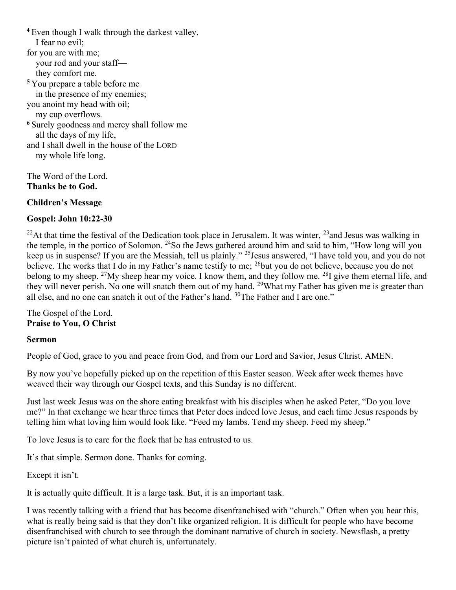<sup>4</sup> Even though I walk through the darkest valley, I fear no evil; for you are with me; your rod and your staff they comfort me. <sup>5</sup>You prepare a table before me in the presence of my enemies; you anoint my head with oil; my cup overflows. <sup>6</sup> Surely goodness and mercy shall follow me all the days of my life, and I shall dwell in the house of the LORD my whole life long.

The Word of the Lord. Thanks be to God.

Children's Message

### Gospel: John 10:22-30

<sup>22</sup>At that time the festival of the Dedication took place in Jerusalem. It was winter,  $^{23}$  and Jesus was walking in the temple, in the portico of Solomon.  $^{24}$ So the Jews gathered around him and said to him, "How long will you keep us in suspense? If you are the Messiah, tell us plainly." <sup>25</sup>Jesus answered, "I have told you, and you do not believe. The works that I do in my Father's name testify to me; <sup>26</sup>but you do not believe, because you do not belong to my sheep. <sup>27</sup>My sheep hear my voice. I know them, and they follow me. <sup>28</sup>I give them eternal life, and they will never perish. No one will snatch them out of my hand. <sup>29</sup>What my Father has given me is greater than all else, and no one can snatch it out of the Father's hand. <sup>30</sup>The Father and I are one."

The Gospel of the Lord. Praise to You, O Christ

#### Sermon

People of God, grace to you and peace from God, and from our Lord and Savior, Jesus Christ. AMEN.

By now you've hopefully picked up on the repetition of this Easter season. Week after week themes have weaved their way through our Gospel texts, and this Sunday is no different.

Just last week Jesus was on the shore eating breakfast with his disciples when he asked Peter, "Do you love me?" In that exchange we hear three times that Peter does indeed love Jesus, and each time Jesus responds by telling him what loving him would look like. "Feed my lambs. Tend my sheep. Feed my sheep."

To love Jesus is to care for the flock that he has entrusted to us.

It's that simple. Sermon done. Thanks for coming.

Except it isn't.

It is actually quite difficult. It is a large task. But, it is an important task.

I was recently talking with a friend that has become disenfranchised with "church." Often when you hear this, what is really being said is that they don't like organized religion. It is difficult for people who have become disenfranchised with church to see through the dominant narrative of church in society. Newsflash, a pretty picture isn't painted of what church is, unfortunately.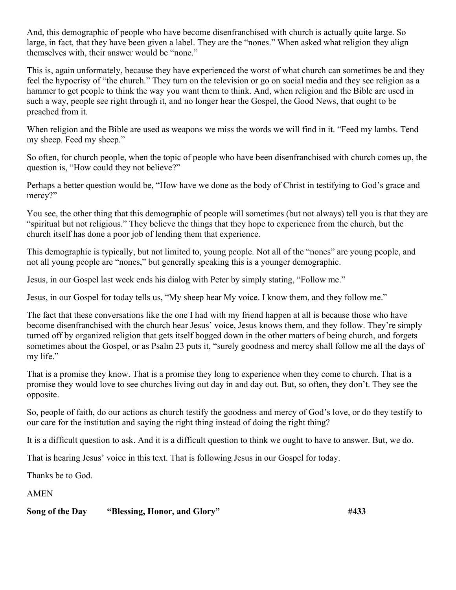And, this demographic of people who have become disenfranchised with church is actually quite large. So large, in fact, that they have been given a label. They are the "nones." When asked what religion they align themselves with, their answer would be "none."

This is, again unformately, because they have experienced the worst of what church can sometimes be and they feel the hypocrisy of "the church." They turn on the television or go on social media and they see religion as a hammer to get people to think the way you want them to think. And, when religion and the Bible are used in such a way, people see right through it, and no longer hear the Gospel, the Good News, that ought to be preached from it.

When religion and the Bible are used as weapons we miss the words we will find in it. "Feed my lambs. Tend my sheep. Feed my sheep."

So often, for church people, when the topic of people who have been disenfranchised with church comes up, the question is, "How could they not believe?"

Perhaps a better question would be, "How have we done as the body of Christ in testifying to God's grace and mercy?"

You see, the other thing that this demographic of people will sometimes (but not always) tell you is that they are "spiritual but not religious." They believe the things that they hope to experience from the church, but the church itself has done a poor job of lending them that experience.

This demographic is typically, but not limited to, young people. Not all of the "nones" are young people, and not all young people are "nones," but generally speaking this is a younger demographic.

Jesus, in our Gospel last week ends his dialog with Peter by simply stating, "Follow me."

Jesus, in our Gospel for today tells us, "My sheep hear My voice. I know them, and they follow me."

The fact that these conversations like the one I had with my friend happen at all is because those who have become disenfranchised with the church hear Jesus' voice, Jesus knows them, and they follow. They're simply turned off by organized religion that gets itself bogged down in the other matters of being church, and forgets sometimes about the Gospel, or as Psalm 23 puts it, "surely goodness and mercy shall follow me all the days of my life."

That is a promise they know. That is a promise they long to experience when they come to church. That is a promise they would love to see churches living out day in and day out. But, so often, they don't. They see the opposite.

So, people of faith, do our actions as church testify the goodness and mercy of God's love, or do they testify to our care for the institution and saying the right thing instead of doing the right thing?

It is a difficult question to ask. And it is a difficult question to think we ought to have to answer. But, we do.

That is hearing Jesus' voice in this text. That is following Jesus in our Gospel for today.

Thanks be to God.

AMEN

#### Song of the Day "Blessing, Honor, and Glory" #433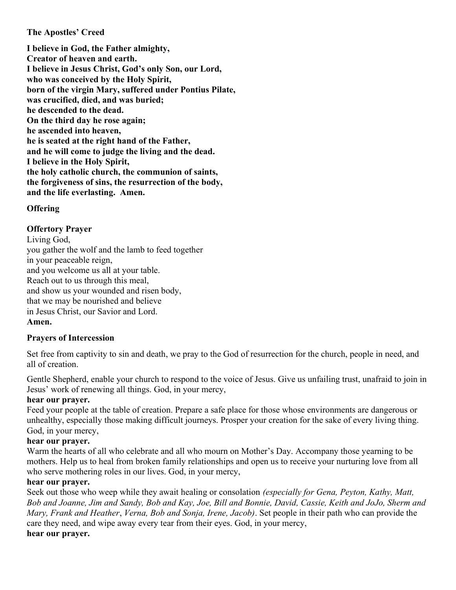### The Apostles' Creed

I believe in God, the Father almighty, Creator of heaven and earth. I believe in Jesus Christ, God's only Son, our Lord, who was conceived by the Holy Spirit, born of the virgin Mary, suffered under Pontius Pilate, was crucified, died, and was buried; he descended to the dead. On the third day he rose again; he ascended into heaven, he is seated at the right hand of the Father, and he will come to judge the living and the dead. I believe in the Holy Spirit, the holy catholic church, the communion of saints, the forgiveness of sins, the resurrection of the body, and the life everlasting. Amen.

# **Offering**

# Offertory Prayer

Living God, you gather the wolf and the lamb to feed together in your peaceable reign, and you welcome us all at your table. Reach out to us through this meal, and show us your wounded and risen body, that we may be nourished and believe in Jesus Christ, our Savior and Lord. Amen.

## Prayers of Intercession

Set free from captivity to sin and death, we pray to the God of resurrection for the church, people in need, and all of creation.

Gentle Shepherd, enable your church to respond to the voice of Jesus. Give us unfailing trust, unafraid to join in Jesus' work of renewing all things. God, in your mercy,

## hear our prayer.

Feed your people at the table of creation. Prepare a safe place for those whose environments are dangerous or unhealthy, especially those making difficult journeys. Prosper your creation for the sake of every living thing. God, in your mercy,

## hear our prayer.

Warm the hearts of all who celebrate and all who mourn on Mother's Day. Accompany those yearning to be mothers. Help us to heal from broken family relationships and open us to receive your nurturing love from all who serve mothering roles in our lives. God, in your mercy,

### hear our prayer.

Seek out those who weep while they await healing or consolation *(especially for Gena, Peyton, Kathy, Matt,* Bob and Joanne, Jim and Sandy, Bob and Kay, Joe, Bill and Bonnie, David, Cassie, Keith and JoJo, Sherm and Mary, Frank and Heather, Verna, Bob and Sonja, Irene, Jacob). Set people in their path who can provide the care they need, and wipe away every tear from their eyes. God, in your mercy,

# hear our prayer.